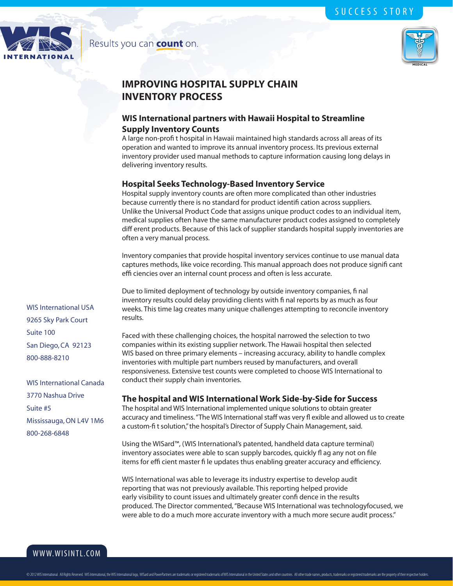

# MEDICAL

## **IMPROVING HOSPITAL SUPPLY CHAIN INVENTORY PROCESS**

Results you can count on.

### **WIS International partners with Hawaii Hospital to Streamline Supply Inventory Counts**

A large non-profi t hospital in Hawaii maintained high standards across all areas of its operation and wanted to improve its annual inventory process. Its previous external inventory provider used manual methods to capture information causing long delays in delivering inventory results.

#### **Hospital Seeks Technology-Based Inventory Service**

Hospital supply inventory counts are often more complicated than other industries because currently there is no standard for product identifi cation across suppliers. Unlike the Universal Product Code that assigns unique product codes to an individual item, medical supplies often have the same manufacturer product codes assigned to completely diff erent products. Because of this lack of supplier standards hospital supply inventories are often a very manual process.

Inventory companies that provide hospital inventory services continue to use manual data captures methods, like voice recording. This manual approach does not produce signifi cant effi ciencies over an internal count process and often is less accurate.

Due to limited deployment of technology by outside inventory companies, fi nal inventory results could delay providing clients with fi nal reports by as much as four weeks. This time lag creates many unique challenges attempting to reconcile inventory results.

Faced with these challenging choices, the hospital narrowed the selection to two companies within its existing supplier network. The Hawaii hospital then selected WIS based on three primary elements – increasing accuracy, ability to handle complex inventories with multiple part numbers reused by manufacturers, and overall responsiveness. Extensive test counts were completed to choose WIS International to conduct their supply chain inventories.

#### **The hospital and WIS International Work Side-by-Side for Success**

The hospital and WIS International implemented unique solutions to obtain greater accuracy and timeliness. "The WIS International staff was very fl exible and allowed us to create a custom-fi t solution," the hospital's Director of Supply Chain Management, said.

Using the WISard™, (WIS International's patented, handheld data capture terminal) inventory associates were able to scan supply barcodes, quickly fl ag any not on file items for effi cient master fi le updates thus enabling greater accuracy and efficiency.

WIS International was able to leverage its industry expertise to develop audit reporting that was not previously available. This reporting helped provide early visibility to count issues and ultimately greater confi dence in the results produced. The Director commented, "Because WIS International was technologyfocused, we were able to do a much more accurate inventory with a much more secure audit process."

WIS International USA 9265 Sky Park Court Suite 100 San Diego, CA 92123 800-888-8210

WIS International Canada 3770 Nashua Drive Suite #5 Mississauga, ON L4V 1M6 800-268-6848

www.wisintl.com